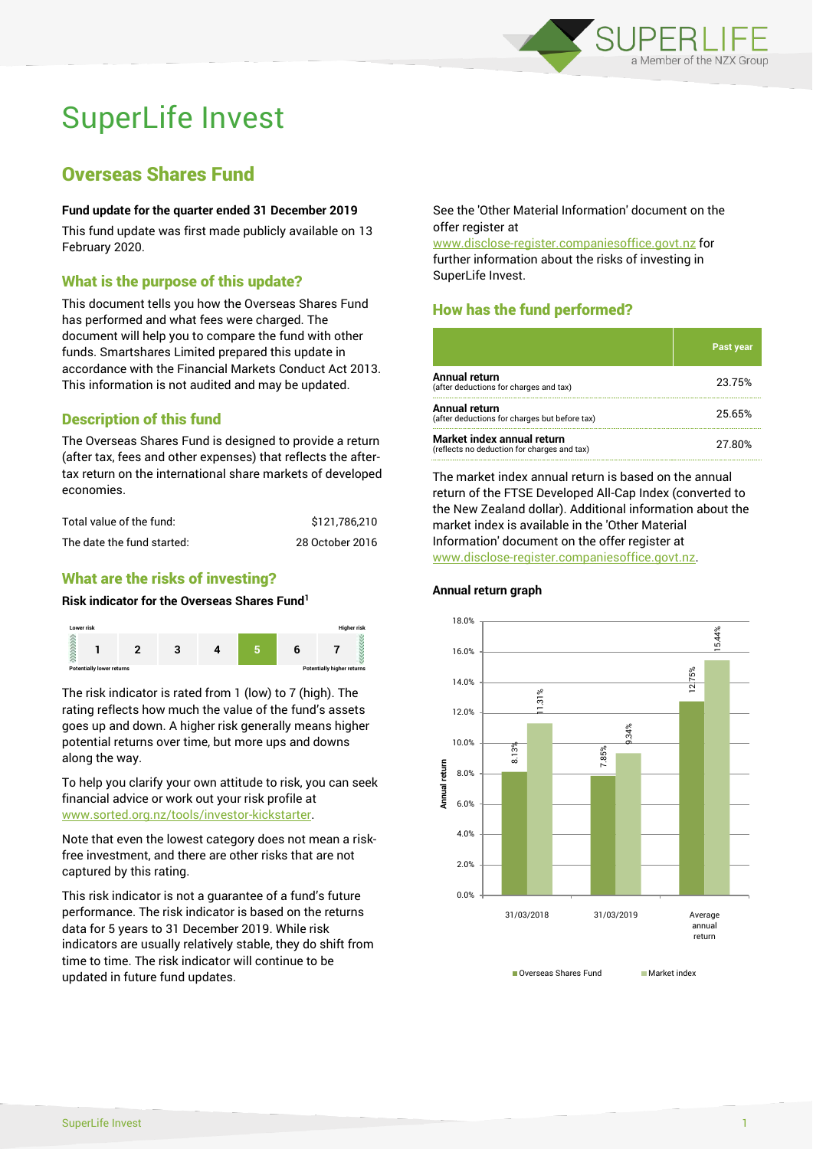

# SuperLife Invest

# Overseas Shares Fund

#### **Fund update for the quarter ended 31 December 2019**

This fund update was first made publicly available on 13 February 2020.

#### What is the purpose of this update?

This document tells you how the Overseas Shares Fund has performed and what fees were charged. The document will help you to compare the fund with other funds. Smartshares Limited prepared this update in accordance with the Financial Markets Conduct Act 2013. This information is not audited and may be updated.

### Description of this fund

The Overseas Shares Fund is designed to provide a return (after tax, fees and other expenses) that reflects the aftertax return on the international share markets of developed economies.

| Total value of the fund:   | \$121.786.210   |
|----------------------------|-----------------|
| The date the fund started: | 28 October 2016 |

#### What are the risks of investing?

#### **Risk indicator for the Overseas Shares Fund<sup>1</sup>**



The risk indicator is rated from 1 (low) to 7 (high). The rating reflects how much the value of the fund's assets goes up and down. A higher risk generally means higher potential returns over time, but more ups and downs along the way.

To help you clarify your own attitude to risk, you can seek financial advice or work out your risk profile at [www.sorted.org.nz/tools/investor-kickstarter.](http://www.sorted.org.nz/tools/investor-kickstarter)

Note that even the lowest category does not mean a riskfree investment, and there are other risks that are not captured by this rating.

This risk indicator is not a guarantee of a fund's future performance. The risk indicator is based on the returns data for 5 years to 31 December 2019. While risk indicators are usually relatively stable, they do shift from time to time. The risk indicator will continue to be updated in future fund updates.

See the 'Other Material Information' document on the offer register at

www.disclose-register.companiesoffice.govt.nz for further information about the risks of investing in SuperLife Invest.

## How has the fund performed?

|                                                                           | <b>Past year</b> |
|---------------------------------------------------------------------------|------------------|
| Annual return<br>(after deductions for charges and tax)                   | 23.75%           |
| Annual return<br>(after deductions for charges but before tax)            | 25.65%           |
| Market index annual return<br>(reflects no deduction for charges and tax) | 27.80%           |

The market index annual return is based on the annual return of the FTSE Developed All-Cap Index (converted to the New Zealand dollar). Additional information about the market index is available in the 'Other Material Information' document on the offer register at www.disclose-register.companiesoffice.govt.nz.



**Annual return graph**

Overseas Shares Fund Market index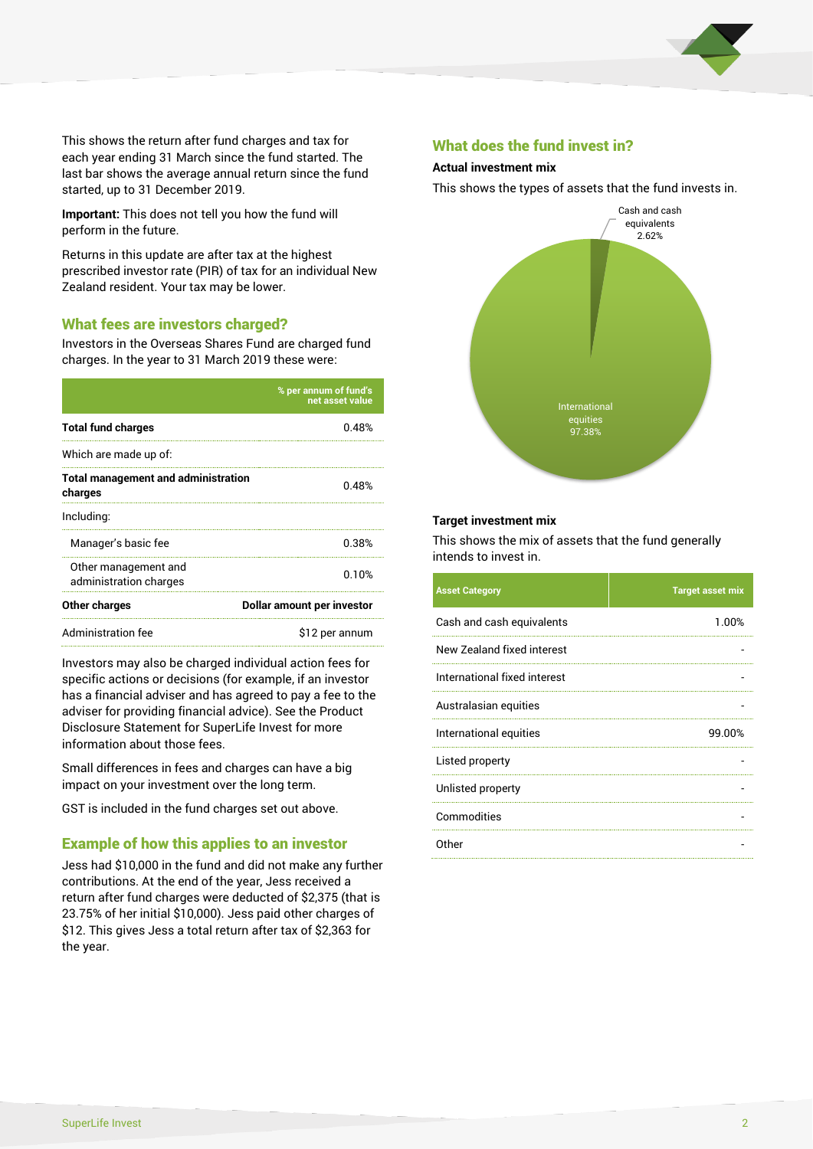

This shows the return after fund charges and tax for each year ending 31 March since the fund started. The last bar shows the average annual return since the fund started, up to 31 December 2019.

**Important:** This does not tell you how the fund will perform in the future.

Returns in this update are after tax at the highest prescribed investor rate (PIR) of tax for an individual New Zealand resident. Your tax may be lower.

#### What fees are investors charged?

Investors in the Overseas Shares Fund are charged fund charges. In the year to 31 March 2019 these were:

|                                                       | % per annum of fund's<br>net asset value |  |
|-------------------------------------------------------|------------------------------------------|--|
| <b>Total fund charges</b>                             | በ 48%                                    |  |
| Which are made up of:                                 |                                          |  |
| <b>Total management and administration</b><br>charges | 0.48%                                    |  |
| Including:                                            |                                          |  |
| Manager's basic fee                                   | 0.38%                                    |  |
| Other management and<br>administration charges        | 0.10%                                    |  |
| Other charges                                         | Dollar amount per investor               |  |
| Administration fee                                    | \$12 per annum                           |  |

Investors may also be charged individual action fees for specific actions or decisions (for example, if an investor has a financial adviser and has agreed to pay a fee to the adviser for providing financial advice). See the Product Disclosure Statement for SuperLife Invest for more information about those fees.

Small differences in fees and charges can have a big impact on your investment over the long term.

GST is included in the fund charges set out above.

#### Example of how this applies to an investor

Jess had \$10,000 in the fund and did not make any further contributions. At the end of the year, Jess received a return after fund charges were deducted of \$2,375 (that is 23.75% of her initial \$10,000). Jess paid other charges of \$12. This gives Jess a total return after tax of \$2,363 for the year.

#### What does the fund invest in?

#### **Actual investment mix**

This shows the types of assets that the fund invests in.



#### **Target investment mix**

This shows the mix of assets that the fund generally intends to invest in.

| <b>Asset Category</b>        | <b>Target asset mix</b> |
|------------------------------|-------------------------|
| Cash and cash equivalents    | 1.00%                   |
| New Zealand fixed interest   |                         |
| International fixed interest |                         |
| Australasian equities        |                         |
| International equities       | 99.00%                  |
| Listed property              |                         |
| Unlisted property            |                         |
| Commodities                  |                         |
| Other                        |                         |